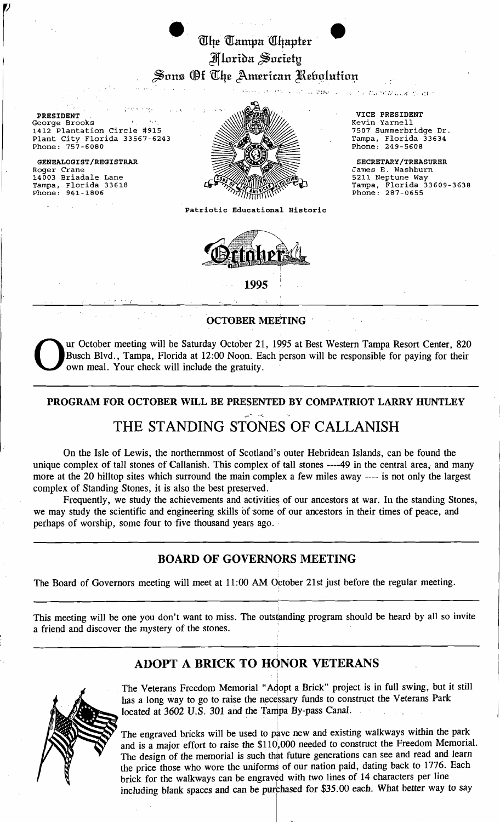# The Tampa Chapter I Jlfloriba ~o.chdt!  $\beta$ ons (Øt Uhe American Uebolution $t$ , .<br>بالالتار التي الحد الاقتصادي المحافظة

PRESIDENT VICE PRESIDENT VICE PRESIDENT VICE PRESIDENT VICE PRESIDENT George Brooks • . . Kevin Yarnell 1412 Plantation Circle #915 7507 Summerbridge Dr. Plant City Florida 33567-6243  $\bigotimes_{\mathbb{Z}} \bigotimes_{\mathbb{Z}} \bigotimes_{\mathbb{Z}} \mathbb{Z}$  Tampa, Florida 33634

14003 Briadale Lane Tampa, Florida 33618<br>Phone: 961-1806



James E. Washburn

5211 Neptune Way<br>Tampa, Florida 33609-3638<br>Phone: 287-0655

maaloo musta

Patriotic Educational Historic



1995

OCTOBER MEETING

Our October meeting will be Saturday October 21, 1995 at Best Western Tampa Resort Center, 820<br>Busch Blvd., Tampa, Florida at 12:00 Noon. Each person will be responsible for paying for their<br>own meal. Your check will inclu Busch Blvd., Tampa, Florida at 12:00 Noon. Each person will be responsible for paying for their own meal. Your check will include the gratuity.

# PROGRAM FOR OCTOBER WILL BE PRESENTED BY COMPATRIOT LARRY HUNTLEY THE STANDING STONES OF CALLANISH

On the Isle of Lewis, the northernmost of Scotland's outer Hebridean Islands, can be found the unique complex of tall stones of Callanish. This complex of tall stones ----49 in the central area, and many more at the 20 hilltop sites which surround the main complex a few miles away ---- is not only the largest complex of Standing Stones, it is also the best preserved.

Frequently, we study the achievements and activities of our ancestors at war. In the standing Stones, we may study the scientific and engineering skills of some of our ancestors in their times of peace, and perhaps of worship, some four to five thousand years ago.

## BOARD OF GOVERNORS MEETING

,

 $\frac{1}{2}$ 

The Board of Governors meeting will meet at 11:00 AM October 21st just before the regular meeting.

This meeting will be one you don't want to miss. The outstanding program should be heard by all so invite a friend and discover the mystery of the stones. '

# ADOPT A BRICK TO HONOR VETERANS



The Veterans Freedom Memorial "Adopt a Brick" project is in full swing, but it still has a long way to go to raise the necessary funds to construct the Veterans Park located at  $3602$  U.S.  $301$  and the Tampa By-pass Canal.

The engraved bricks will be used to pave new and existing walkways within the park and is a major effort to raise the \$110,000 needed to construct the Freedom Memorial. The design of the memorial is such that future generations can see and read and learn the price those who wore the uniforms of our nation paid, dating back to 1776. Each brick for the walkways can be engraved with two lines of 14 characters per line including blank spaces and can be purchased for \$35.00 each. What better way to say

 $\vert$   $\vert$   $\vert$   $\vert$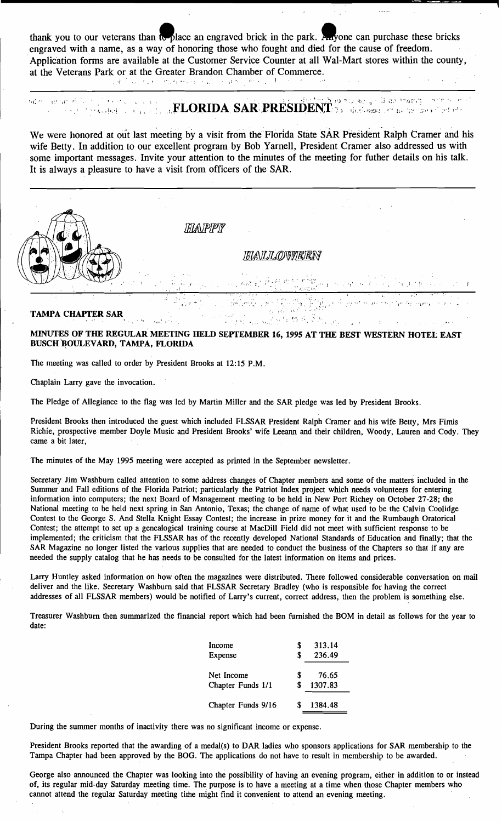thank you to our veterans than to place an engraved brick in the park. Anyone can purchase these bricks engraved with a name, as a way of honoring those who fought and died for the cause of freedom. 'Application forms are available at the Customer Service Counter at all Wal-Mart stores within the county, at the Veterans Park or at the Greater Brandon Chamber of Commerce.

### ,,"I " ' .", "'. I

#### , : r { : ',' 1 ,. . \, I;} ':' ! ":,' . , I • ; J ;: *r* -. ~'!", .'. . t": ., t" . l'  $\overline{\mathcal{C}}$  ,  $\overline{\mathcal{C}}$  ,  $\overline{\mathcal{C}}$  ,  $\overline{\mathcal{C}}$  ,  $\overline{\mathbf{FLORIDA}}$   $\mathbf{SAR}$  ,  $\mathbf{PRESIDENT}$  ,  $\overline{\mathcal{C}}$  ,  $\overline{\mathcal{C}}$  as the transformation of  $\overline{\mathcal{C}}$  $\ddot{\phantom{0}}$

We were honored at out last meeting by a visit from the Florida State SAR President Ralph Cramer and his wife Betty. In addition to our excellent program by Bob Yarnell, President Cramer also addressed us with some important messages. Invite your attention to the minutes of the meeting for futher details on his talk. It is always a pleasure to have a visit from officers of the SAR.



### **TAMPA CHAPTER SAR**

#### MINUTES OF THE REGULAR MEETING HELD SEYfEMBER 16, 1995 AT THE BEST WESTERN HOTEL EAST BUSCH BOULEVARD, TAMPA, FLORIDA

:f" ;f'",'..'

1, ~. *\_,t.,* 

The meeting was called to order by President Brooks at 12:15 P.M.

 $\ldots$  .

Chaplain Larry gave the invocation.

The Pledge of Allegiance to the flag was led by Martin Miller and the SAR pledge was led by President Brooks.

President Brooks then introduced the guest which included FLSSAR President Ralph Cramer and his wife Betty, Mrs Fimis Richie, prospective member Doyle Music and President Brooks' wife Leeann and their children, Woody, Lauren and Cody. They came a bit later,

The minutes of the May 1995 meeting were accepted as printed in the September newsletter.

 $, \cdot$ 

Secretary Jim Washburn called attention to some address changes of Chapter members and some of the matters included in the Summer and Fall editions of the Florida Patriot; particularly the Patriot Index project which needs volunteers for entering information into computers; the next Board of Management meeting to be held in New Port Richey on October 27-28; the National meeting to be held next spring in San Antonio, Texas; the change of name of what used to be the Calvin Coolidge Contest to the George S. And Stella Knight Essay Contest; the increase in prize money for it and the Rumbaugh Oratorical Contest; the attempt to set up a genealogical training course at MacDill Field did not meet with sufficient response to be implemented; the criticism that the FLSSAR has of the recently developed National Standards of Education and finally; that the SAR Magazine no longer listed the various supplies that are needed to conduct the business of the Chapters so that if any are needed the supply catalog that he has needs to be consulted for the latest information on items and prices.

Larry Huntley asked information on how often the magazines were distributed. There followed considerable conversation on mail deliver and the like. Secretary Washburn said that FLSSAR Secretary Bradley (who is responsible for having the correct addresses of all FLSSAR members) would be notified of Larry's current, correct address, then the problem is something else.

Treasurer Washburn then summarized the financial report which had been furnished the BOM in detail as follows for the year to date:

| Income             | S  | 313.14  |
|--------------------|----|---------|
| Expense            | S  | 236.49  |
| Net Income         | S  | 76.65   |
| Chapter Funds 1/1  | \$ | 1307.83 |
| Chapter Funds 9/16 |    | 1384.48 |

During the summer months of inactivity there was no significant income or expense.

President Brooks reported that the awarding of a medal(s) to DAR ladies who sponsors applications for SAR membership to the Tampa Chapter had been approved by the BOG. The applications do not have to result in membership to be awarded.

George also announced the Chapter was looking into the possibility of having an evening program, either in addition to or instead of, its regular mid-day Saturday meeting time. The purpose is to have a meeting at a time when those Chapter members who cannot attend the regular Saturday meeting time might find it convenient to attend an evening meeting.